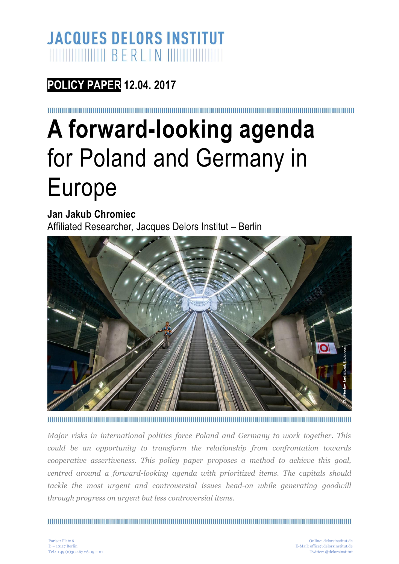### **JACQUES DELORS INSTITUT**

**POLICY PAPER 12.04. 2017**

# **A forward-looking agenda**  for Poland and Germany in Europe

**Jan Jakub Chromiec** Affiliated Researcher, Jacques Delors Institut – Berlin



*Major risks in international politics force Poland and Germany to work together. This could be an opportunity to transform the relationship from confrontation towards cooperative assertiveness. This policy paper proposes a method to achieve this goal, centred around a forward-looking agenda with prioritized items. The capitals should tackle the most urgent and controversial issues head-on while generating goodwill through progress on urgent but less controversial items.* Twitter: **Comparison Control**<br>Twitter: This<br>ion towards<br>be this goal,<br>itals should<br>mg goodwill<br>engelelorsinstituted<br>office@delorsinstitutedersinstituted<br>office@delorsinstitutedersinstitutedersinstitutedersinstituted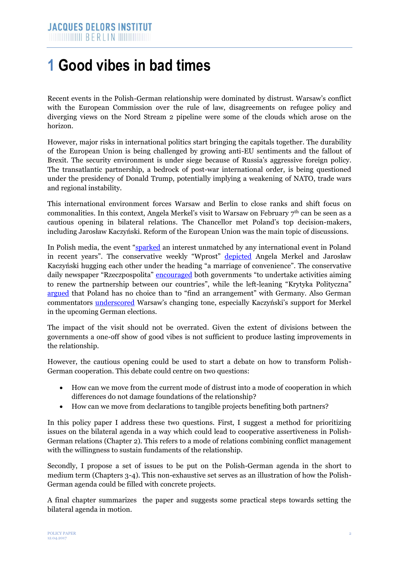### **1 Good vibes in bad times**

Recent events in the Polish-German relationship were dominated by distrust. Warsaw's conflict with the European Commission over the rule of law, disagreements on refugee policy and diverging views on the Nord Stream 2 pipeline were some of the clouds which arose on the horizon.

However, major risks in international politics start bringing the capitals together. The durability of the European Union is being challenged by growing anti-EU sentiments and the fallout of Brexit. The security environment is under siege because of Russia's aggressive foreign policy. The transatlantic partnership, a bedrock of post-war international order, is being questioned under the presidency of Donald Trump, potentially implying a weakening of NATO, trade wars and regional instability.

This international environment forces Warsaw and Berlin to close ranks and shift focus on commonalities. In this context, Angela Merkel's visit to Warsaw on February  $7<sup>th</sup>$  can be seen as a cautious opening in bilateral relations. The Chancellor met Poland's top decision-makers, including Jarosław Kaczyński. Reform of the European Union was the main topic of discussions.

In Polish media, the event ["sparked](http://www.ecfr.eu/article/commentary_pariah_no_more_poland_weighs_its_options) an interest unmatched by any international event in Poland in recent years". The conservative weekly "Wprost" [depicted](https://www.wprost.pl/tylko-u-nas/10041610/Merkel-w-Warszawie-polskie-korzenie-Zuckerberga-i-nowa-odslona-afery-warszawskiej-co-w-najnowszym-Wprost.html) Angela Merkel and Jarosław Kaczyński hugging each other under the heading "a marriage of convenience". The conservative daily newspaper "Rzeczpospolita" [encouraged](http://www.rp.pl/Publicystyka/302029831-Unia-Europejska-Droga-do-partnerstwa.html#ap-3) both governments "to undertake activities aiming to renew the partnership between our countries", while the left-leaning "Krytyka Polityczna" [argued](http://krytykapolityczna.pl/swiat/sutowski-merkel-polska/) that Poland has no choice than to "find an arrangement" with Germany. Also German commentators [underscored](http://www.deutschlandradiokultur.de/polens-nationalkonservative-warum-sich-kaczynski-merkel-an.996.de.html?dram:article_id=378663) Warsaw's changing tone, especially Kaczyński's support for Merkel in the upcoming German elections.

The impact of the visit should not be overrated. Given the extent of divisions between the governments a one-off show of good vibes is not sufficient to produce lasting improvements in the relationship.

However, the cautious opening could be used to start a debate on how to transform Polish-German cooperation. This debate could centre on two questions:

- How can we move from the current mode of distrust into a mode of cooperation in which differences do not damage foundations of the relationship?
- How can we move from declarations to tangible projects benefiting both partners?

In this policy paper I address these two questions. First, I suggest a method for prioritizing issues on the bilateral agenda in a way which could lead to cooperative assertiveness in Polish-German relations (Chapter 2). This refers to a mode of relations combining conflict management with the willingness to sustain fundaments of the relationship.

Secondly, I propose a set of issues to be put on the Polish-German agenda in the short to medium term (Chapters 3-4). This non-exhaustive set serves as an illustration of how the Polish-German agenda could be filled with concrete projects.

A final chapter summarizes the paper and suggests some practical steps towards setting the bilateral agenda in motion.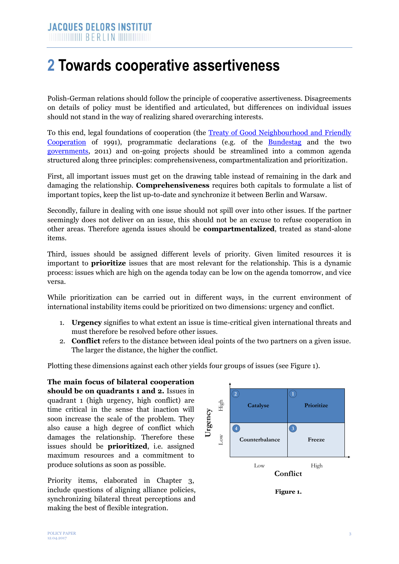### **2 Towards cooperative assertiveness**

Polish-German relations should follow the principle of cooperative assertiveness. Disagreements on details of policy must be identified and articulated, but differences on individual issues should not stand in the way of realizing shared overarching interests.

To this end, legal foundations of cooperation (the [Treaty of Good Neighbourhood and Friendly](http://www.polen.diplo.de/contentblob/4070198/Daten/126388/vertrag1761991.pdf)  [Cooperation](http://www.polen.diplo.de/contentblob/4070198/Daten/126388/vertrag1761991.pdf) of 1991), programmatic declarations (e.g. of the [Bundestag](http://dip21.bundestag.de/dip21/btd/17/061/1706145.pdf) and the two [governments,](https://archiv.bundesregierung.de/ContentArchiv/DE/Archiv17/_Anlagen/2011/06/2011-06-21-programm-deutsch-polnische-nachbarschaft.pdf;jsessionid=531664ADA22199F68722A6D37360EAB7.s6t1?__blob=publicationFile&v=2) 2011) and on-going projects should be streamlined into a common agenda structured along three principles: comprehensiveness, compartmentalization and prioritization.

First, all important issues must get on the drawing table instead of remaining in the dark and damaging the relationship. **Comprehensiveness** requires both capitals to formulate a list of important topics, keep the list up-to-date and synchronize it between Berlin and Warsaw.

Secondly, failure in dealing with one issue should not spill over into other issues. If the partner seemingly does not deliver on an issue, this should not be an excuse to refuse cooperation in other areas. Therefore agenda issues should be **compartmentalized**, treated as stand-alone items.

Third, issues should be assigned different levels of priority. Given limited resources it is important to **prioritize** issues that are most relevant for the relationship. This is a dynamic process: issues which are high on the agenda today can be low on the agenda tomorrow, and vice versa.

While prioritization can be carried out in different ways, in the current environment of international instability items could be prioritized on two dimensions: urgency and conflict.

- 1. **Urgency** signifies to what extent an issue is time-critical given international threats and must therefore be resolved before other issues.
- 2. **Conflict** refers to the distance between ideal points of the two partners on a given issue. The larger the distance, the higher the conflict.

Plotting these dimensions against each other yields four groups of issues (see Figure 1).

**The main focus of bilateral cooperation should be on quadrants 1 and 2.** Issues in quadrant 1 (high urgency, high conflict) are time critical in the sense that inaction will soon increase the scale of the problem. They also cause a high degree of conflict which damages the relationship. Therefore these issues should be **prioritized**, i.e. assigned maximum resources and a commitment to produce solutions as soon as possible.

Priority items, elaborated in Chapter 3, include questions of aligning alliance policies, synchronizing bilateral threat perceptions and making the best of flexible integration.

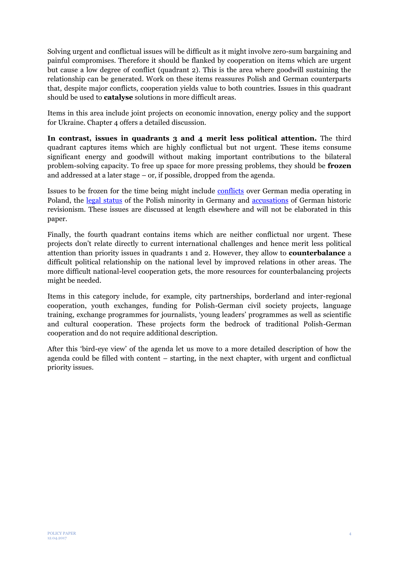Solving urgent and conflictual issues will be difficult as it might involve zero-sum bargaining and painful compromises. Therefore it should be flanked by cooperation on items which are urgent but cause a low degree of conflict (quadrant 2). This is the area where goodwill sustaining the relationship can be generated. Work on these items reassures Polish and German counterparts that, despite major conflicts, cooperation yields value to both countries. Issues in this quadrant should be used to **catalyse** solutions in more difficult areas.

Items in this area include joint projects on economic innovation, energy policy and the support for Ukraine. Chapter 4 offers a detailed discussion.

**In contrast, issues in quadrants 3 and 4 merit less political attention.** The third quadrant captures items which are highly conflictual but not urgent. These items consume significant energy and goodwill without making important contributions to the bilateral problem-solving capacity. To free up space for more pressing problems, they should be **frozen** and addressed at a later stage – or, if possible, dropped from the agenda.

Issues to be frozen for the time being might include [conflicts](http://www.thenews.pl/1/2/Artykul/298456,Poland-seeks-explanation-over-memo-by-GermanSwiss-publisher-report) over German media operating in Poland, the [legal status](http://www.deutschlandfunk.de/ringen-um-identitaet-warum-polen-den-minderheiten-status.862.de.html?dram:article_id=357501) of the Polish minority in Germany and [accusations](http://www.tvp.info/29653661/polskie-obozy-zaglady-niemieckie-media-znow-zaklamuja-historie) of German historic revisionism. These issues are discussed at length elsewhere and will not be elaborated in this paper.

Finally, the fourth quadrant contains items which are neither conflictual nor urgent. These projects don't relate directly to current international challenges and hence merit less political attention than priority issues in quadrants 1 and 2. However, they allow to **counterbalance** a difficult political relationship on the national level by improved relations in other areas. The more difficult national-level cooperation gets, the more resources for counterbalancing projects might be needed.

Items in this category include, for example, city partnerships, borderland and inter-regional cooperation, youth exchanges, funding for Polish-German civil society projects, language training, exchange programmes for journalists, 'young leaders' programmes as well as scientific and cultural cooperation. These projects form the bedrock of traditional Polish-German cooperation and do not require additional description.

After this 'bird-eye view' of the agenda let us move to a more detailed description of how the agenda could be filled with content – starting, in the next chapter, with urgent and conflictual priority issues.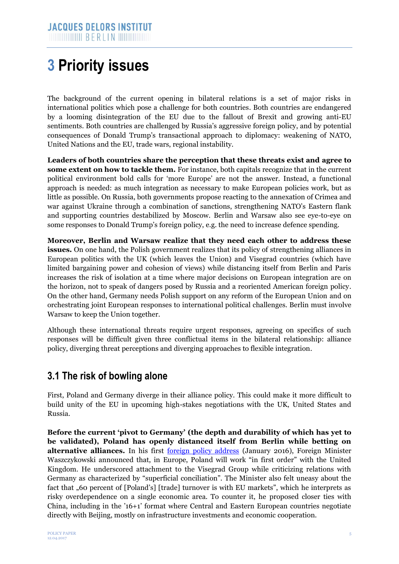# **3 Priority issues**

The background of the current opening in bilateral relations is a set of major risks in international politics which pose a challenge for both countries. Both countries are endangered by a looming disintegration of the EU due to the fallout of Brexit and growing anti-EU sentiments. Both countries are challenged by Russia's aggressive foreign policy, and by potential consequences of Donald Trump's transactional approach to diplomacy: weakening of NATO, United Nations and the EU, trade wars, regional instability.

**Leaders of both countries share the perception that these threats exist and agree to some extent on how to tackle them.** For instance, both capitals recognize that in the current political environment bold calls for 'more Europe' are not the answer. Instead, a functional approach is needed: as much integration as necessary to make European policies work, but as little as possible. On Russia, both governments propose reacting to the annexation of Crimea and war against Ukraine through a combination of sanctions, strengthening NATO's Eastern flank and supporting countries destabilized by Moscow. Berlin and Warsaw also see eye-to-eye on some responses to Donald Trump's foreign policy, e.g. the need to increase defence spending.

**Moreover, Berlin and Warsaw realize that they need each other to address these issues.** On one hand, the Polish government realizes that its policy of strengthening alliances in European politics with the UK (which leaves the Union) and Visegrad countries (which have limited bargaining power and cohesion of views) while distancing itself from Berlin and Paris increases the risk of isolation at a time where major decisions on European integration are on the horizon, not to speak of dangers posed by Russia and a reoriented American foreign policy. On the other hand, Germany needs Polish support on any reform of the European Union and on orchestrating joint European responses to international political challenges. Berlin must involve Warsaw to keep the Union together.

Although these international threats require urgent responses, agreeing on specifics of such responses will be difficult given three conflictual items in the bilateral relationship: alliance policy, diverging threat perceptions and diverging approaches to flexible integration.

#### **3.1 The risk of bowling alone**

First, Poland and Germany diverge in their alliance policy. This could make it more difficult to build unity of the EU in upcoming high-stakes negotiations with the UK, United States and Russia.

**Before the current 'pivot to Germany' (the depth and durability of which has yet to be validated), Poland has openly distanced itself from Berlin while betting on alternative alliances.** In his first [foreign policy address](http://www.msz.gov.pl/pl/aktualnosci/wiadomosci/minister_witold_waszczykowski_o_priorytetach_polskiej_dyplomacji) (January 2016), Foreign Minister Waszczykowski announced that, in Europe, Poland will work "in first order" with the United Kingdom. He underscored attachment to the Visegrad Group while criticizing relations with Germany as characterized by "superficial conciliation". The Minister also felt uneasy about the fact that "60 percent of [Poland's] [trade] turnover is with EU markets", which he interprets as risky overdependence on a single economic area. To counter it, he proposed closer ties with China, including in the '16+1' format where Central and Eastern European countries negotiate directly with Beijing, mostly on infrastructure investments and economic cooperation.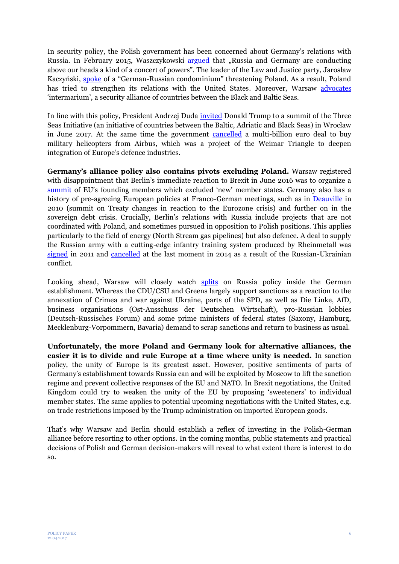In security policy, the Polish government has been concerned about Germany's relations with Russia. In February 2015, Waszczykowski [argued](http://www.fronda.pl/a/witold-waszczykowski-dla-frondapl-potrzeba-mezow-stanu-a-nie-politycznych-gierek,47653.html) that "Russia and Germany are conducting above our heads a kind of a concert of powers". The leader of the Law and Justice party, Jarosław Kaczyński, [spoke](https://www.youtube.com/watch?v=LCK_biZe_KU) of a "German-Russian condominium" threatening Poland. As a result, Poland has tried to strengthen its relations with the United States. Moreover, Warsaw [advocates](http://www.rp.pl/Dyplomacja/308179789-Polityka-zagraniczna-Duda-wraca-do-koncepcji-miedzymorza.html) 'intermarium', a security alliance of countries between the Black and Baltic Seas.

In line with this policy, President Andrzej Duda [invited](http://www.prezydent.pl/en/news/art,352,president-duda-invites-trump-to-poland.html) Donald Trump to a summit of the Three Seas Initiative (an initiative of countries between the Baltic, Adriatic and Black Seas) in Wrocław in June 2017. At the same time the government [cancelled](http://www.france24.com/en/20161011-french-fury-airbus-poland-helicopter-deal-usa-eu) a multi-billion euro deal to buy military helicopters from Airbus, which was a project of the Weimar Triangle to deepen integration of Europe's defence industries.

**Germany's alliance policy also contains pivots excluding Poland.** Warsaw registered with disappointment that Berlin's immediate reaction to Brexit in June 2016 was to organize a [summit](http://www.dw.com/en/founding-eu-members-talk-brexit-in-berlin/a-19356401) of EU's founding members which excluded 'new' member states. Germany also has a history of pre-agreeing European policies at Franco-German meetings, such as in [Deauville](https://www.euractiv.com/section/future-eu/news/merkel-sarkozy-agree-on-eu-treaty-change-to-handle-crises/) in 2010 (summit on Treaty changes in reaction to the Eurozone crisis) and further on in the sovereign debt crisis. Crucially, Berlin's relations with Russia include projects that are not coordinated with Poland, and sometimes pursued in opposition to Polish positions. This applies particularly to the field of energy (North Stream gas pipelines) but also defence. A deal to supply the Russian army with a cutting-edge infantry training system produced by Rheinmetall was [signed](https://www.osw.waw.pl/en/publikacje/analyses/2011-06-29/france-and-germany-are-establishing-a-closer-military-co-operation) in 2011 and [cancelled](http://www.zeit.de/wirtschaft/2014-08/rheinmetall-russland-deutschland-mulino-deal-abgesagt) at the last moment in 2014 as a result of the Russian-Ukrainian conflict.

Looking ahead, Warsaw will closely watch [splits](https://www.osw.waw.pl/en/publikacje/osw-commentary/2016-11-07/dreaming-normalisation-germany-vs-russia) on Russia policy inside the German establishment. Whereas the CDU/CSU and Greens largely support sanctions as a reaction to the annexation of Crimea and war against Ukraine, parts of the SPD, as well as Die Linke, AfD, business organisations (Ost-Ausschuss der Deutschen Wirtschaft), pro-Russian lobbies (Deutsch-Russisches Forum) and some prime ministers of federal states (Saxony, Hamburg, Mecklenburg-Vorpommern, Bavaria) demand to scrap sanctions and return to business as usual.

**Unfortunately, the more Poland and Germany look for alternative alliances, the easier it is to divide and rule Europe at a time where unity is needed.** In sanction policy, the unity of Europe is its greatest asset. However, positive sentiments of parts of Germany's establishment towards Russia can and will be exploited by Moscow to lift the sanction regime and prevent collective responses of the EU and NATO. In Brexit negotiations, the United Kingdom could try to weaken the unity of the EU by proposing 'sweeteners' to individual member states. The same applies to potential upcoming negotiations with the United States, e.g. on trade restrictions imposed by the Trump administration on imported European goods.

That's why Warsaw and Berlin should establish a reflex of investing in the Polish-German alliance before resorting to other options. In the coming months, public statements and practical decisions of Polish and German decision-makers will reveal to what extent there is interest to do so.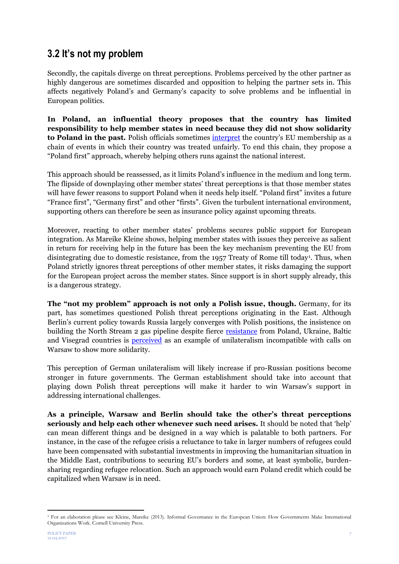#### **3.2 It's not my problem**

Secondly, the capitals diverge on threat perceptions. Problems perceived by the other partner as highly dangerous are sometimes discarded and opposition to helping the partner sets in. This affects negatively Poland's and Germany's capacity to solve problems and be influential in European politics.

**In Poland, an influential theory proposes that the country has limited responsibility to help member states in need because they did not show solidarity to Poland in the past.** Polish officials sometimes [interpret](http://www.batory.org.pl/upload/files/Programy%20operacyjne/Otwarta%20Europa/Change%20in%20Poland.pdf) the country's EU membership as a chain of events in which their country was treated unfairly. To end this chain, they propose a "Poland first" approach, whereby helping others runs against the national interest.

This approach should be reassessed, as it limits Poland's influence in the medium and long term. The flipside of downplaying other member states' threat perceptions is that those member states will have fewer reasons to support Poland when it needs help itself. "Poland first" invites a future "France first", "Germany first" and other "firsts". Given the turbulent international environment, supporting others can therefore be seen as insurance policy against upcoming threats.

Moreover, reacting to other member states' problems secures public support for European integration. As Mareike Kleine shows, helping member states with issues they perceive as salient in return for receiving help in the future has been the key mechanism preventing the EU from disintegrating due to domestic resistance, from the 1957 Treaty of Rome till today<sup>1</sup>. Thus, when Poland strictly ignores threat perceptions of other member states, it risks damaging the support for the European project across the member states. Since support is in short supply already, this is a dangerous strategy.

**The "not my problem" approach is not only a Polish issue, though.** Germany, for its part, has sometimes questioned Polish threat perceptions originating in the East. Although Berlin's current policy towards Russia largely converges with Polish positions, the insistence on building the North Stream 2 gas pipeline despite fierce [resistance](https://www.swp-berlin.org/fileadmin/contents/products/studien/2016S21_lng_wep.pdf) from Poland, Ukraine, Baltic and Visegrad countries is **perceived** as an example of unilateralism incompatible with calls on Warsaw to show more solidarity.

This perception of German unilateralism will likely increase if pro-Russian positions become stronger in future governments. The German establishment should take into account that playing down Polish threat perceptions will make it harder to win Warsaw's support in addressing international challenges.

**As a principle, Warsaw and Berlin should take the other's threat perceptions seriously and help each other whenever such need arises.** It should be noted that 'help' can mean different things and be designed in a way which is palatable to both partners. For instance, in the case of the refugee crisis a reluctance to take in larger numbers of refugees could have been compensated with substantial investments in improving the humanitarian situation in the Middle East, contributions to securing EU's borders and some, at least symbolic, burdensharing regarding refugee relocation. Such an approach would earn Poland credit which could be capitalized when Warsaw is in need.

**.** 

<sup>1</sup> For an elaboration please see Kleine, Mareike (2013). Informal Governance in the European Union: How Governments Make International Organizations Work. Cornell University Press.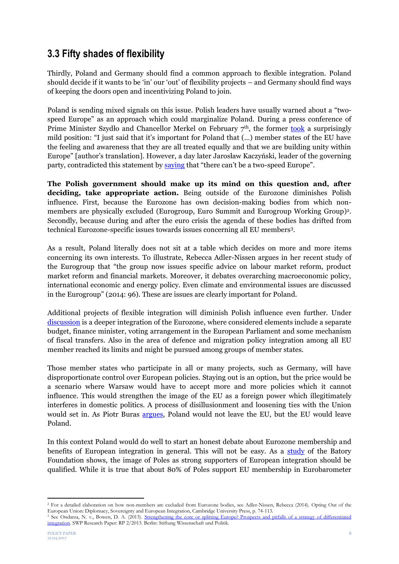#### **3.3 Fifty shades of flexibility**

Thirdly, Poland and Germany should find a common approach to flexible integration. Poland should decide if it wants to be 'in' our 'out' of flexibility projects – and Germany should find ways of keeping the doors open and incentivizing Poland to join.

Poland is sending mixed signals on this issue. Polish leaders have usually warned about a "twospeed Europe" as an approach which could marginalize Poland. During a press conference of Prime Minister Szydło and Chancellor Merkel on February  $7<sup>th</sup>$ , the former [took](https://www.bundeskanzlerin.de/Content/DE/Mitschrift/Pressekonferenzen/2017/02/2017-02-07-pk-merkel-szydlo.html) a surprisingly mild position: "I just said that it's important for Poland that (…) member states of the EU have the feeling and awareness that they are all treated equally and that we are building unity within Europe" [author's translation]. However, a day later Jarosław Kaczyński, leader of the governing party, contradicted this statement by [saying](http://www.polskieradio.pl/130/2792/Artykul/1725540,Jaroslaw-Kaczynski-Nie-moze-byc-UE-dwoch-predkosci) that "there can't be a two-speed Europe".

**The Polish government should make up its mind on this question and, after deciding, take appropriate action.** Being outside of the Eurozone diminishes Polish influence. First, because the Eurozone has own decision-making bodies from which nonmembers are physically excluded (Eurogroup, Euro Summit and Eurogroup Working Group) 2 . Secondly, because during and after the euro crisis the agenda of these bodies has drifted from technical Eurozone-specific issues towards issues concerning all EU members<sup>3</sup> .

As a result, Poland literally does not sit at a table which decides on more and more items concerning its own interests. To illustrate, Rebecca Adler-Nissen argues in her recent study of the Eurogroup that "the group now issues specific advice on labour market reform, product market reform and financial markets. Moreover, it debates overarching macroeconomic policy, international economic and energy policy. Even climate and environmental issues are discussed in the Eurogroup" (2014: 96). These are issues are clearly important for Poland.

Additional projects of flexible integration will diminish Polish influence even further. Under [discussion](http://www.batory.org.pl/upload/files/pdf/rap_otw_eu/Prepare%20for%20a%20new%20Europe.pdf) is a deeper integration of the Eurozone, where considered elements include a separate budget, finance minister, voting arrangement in the European Parliament and some mechanism of fiscal transfers. Also in the area of defence and migration policy integration among all EU member reached its limits and might be pursued among groups of member states.

Those member states who participate in all or many projects, such as Germany, will have disproportionate control over European policies. Staying out is an option, but the price would be a scenario where Warsaw would have to accept more and more policies which it cannot influence. This would strengthen the image of the EU as a foreign power which illegitimately interferes in domestic politics. A process of disillusionment and loosening ties with the Union would set in. As Piotr Buras [argues,](http://www.batory.org.pl/upload/files/pdf/rap_otw_eu/Polish%20views%20of%20the%20EU.pdf) Poland would not leave the EU, but the EU would leave Poland.

In this context Poland would do well to start an honest debate about Eurozone membership and benefits of European integration in general. This will not be easy. As a [study](http://www.batory.org.pl/upload/files/pdf/rap_otw_eu/Polish%20views%20of%20the%20EU.pdf) of the Batory Foundation shows, the image of Poles as strong supporters of European integration should be qualified. While it is true that about 80% of Poles support EU membership in Eurobarometer

**.** 

<sup>2</sup> For a detailed elaboration on how non-members are excluded from Eurozone bodies, see Adler-Nissen, Rebecca (2014). Opting Out of the European Union: Diplomacy, Sovereignty and European Integration, Cambridge University Press, p. 74-113.

<sup>&</sup>lt;sup>3</sup> See Ondarza, N. v., Bowen, D. A. (2013). Strengthening the core or splitting Europe? Prospects and pitfalls of a strategy of differentiated [integration.](https://www.swp-berlin.org/fileadmin/contents/products/research_papers/2013_RP02_orz.pdf) SWP Research Paper: RP 2/2013. Berlin: Stiftung Wissenschaft und Politik.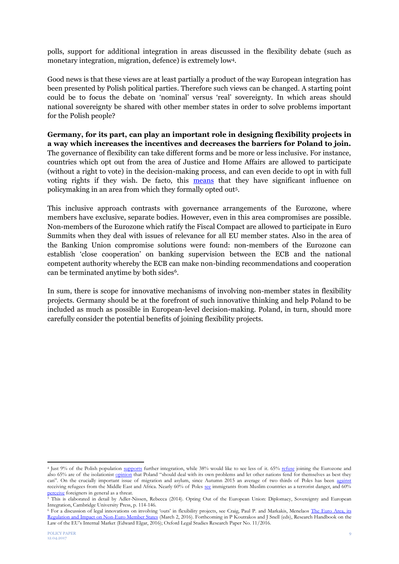polls, support for additional integration in areas discussed in the flexibility debate (such as monetary integration, migration, defence) is extremely low<sup>4</sup> .

Good news is that these views are at least partially a product of the way European integration has been presented by Polish political parties. Therefore such views can be changed. A starting point could be to focus the debate on 'nominal' versus 'real' sovereignty. In which areas should national sovereignty be shared with other member states in order to solve problems important for the Polish people?

**Germany, for its part, can play an important role in designing flexibility projects in a way which increases the incentives and decreases the barriers for Poland to join.** The governance of flexibility can take different forms and be more or less inclusive. For instance, countries which opt out from the area of Justice and Home Affairs are allowed to participate (without a right to vote) in the decision-making process, and can even decide to opt in with full voting rights if they wish. De facto, this [means](http://www.tandfonline.com/doi/abs/10.1080/13501760802453239) that they have significant influence on policymaking in an area from which they formally opted out<sup>5</sup> .

This inclusive approach contrasts with governance arrangements of the Eurozone, where members have exclusive, separate bodies. However, even in this area compromises are possible. Non-members of the Eurozone which ratify the Fiscal Compact are allowed to participate in Euro Summits when they deal with issues of relevance for all EU member states. Also in the area of the Banking Union compromise solutions were found: non-members of the Eurozone can establish 'close cooperation' on banking supervision between the ECB and the national competent authority whereby the ECB can make non-binding recommendations and cooperation can be terminated anytime by both sides<sup>6</sup>.

In sum, there is scope for innovative mechanisms of involving non-member states in flexibility projects. Germany should be at the forefront of such innovative thinking and help Poland to be included as much as possible in European-level decision-making. Poland, in turn, should more carefully consider the potential benefits of joining flexibility projects.

**.** 

<sup>&</sup>lt;sup>4</sup> Just 9% of the Polish population [supports](http://www.pewglobal.org/2016/06/07/euroskepticism-beyond-brexit/) further integration, while 38% would like to see less of it. 65% [refuse](http://www.cbos.pl/SPISKOM.POL/2016/K_095_16.PDF) joining the Eurozone and also 65% are of the isolationis[t opinion](http://www.pewglobal.org/2016/06/13/europeans-face-the-world-divided) that Poland "should deal with its own problems and let other nations fend for themselves as best they can". On the crucially important issue of migration and asylum, since Autumn 2015 an average of two thirds of Poles has been [against](http://www.cbos.pl/SPISKOM.POL/2016/K_136_16.PDF) receiving refugees from the Middle East and Africa. Nearly 60% of Poles [see](http://afryka.org/download/raport2015/raportpl.pdf) immigrants from Muslim countries as a terrorist danger, and 60% [perceive](http://poland.iom.int/sites/default/files/IOM_Cudzoziemcy_raport_IX_2016.pdf) foreigners in general as a threat.

<sup>&</sup>lt;sup>5</sup> This is elaborated in detail by Adler-Nissen, Rebecca (2014). Opting Out of the European Union: Diplomacy, Sovereignty and European Integration, Cambridge University Press, p. 114-146.

<sup>&</sup>lt;sup>6</sup> For a discussion of legal innovations on involving 'outs' in flexibility projects, see Craig, Paul P. and Markakis, Menelaos The Euro Area, its [Regulation and Impact on Non-Euro Member States](https://ssrn.com/abstract=2741211) (March 2, 2016). Forthcoming in P Koutrakos and J Snell (eds), Research Handbook on the Law of the EU's Internal Market (Edward Elgar, 2016); Oxford Legal Studies Research Paper No. 11/2016.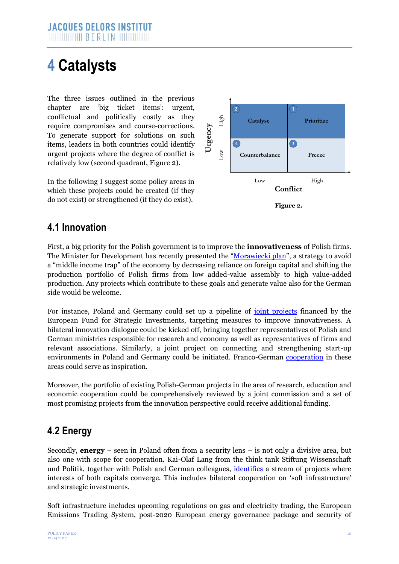### **4 Catalysts**

The three issues outlined in the previous chapter are 'big ticket items': urgent, conflictual and politically costly as they require compromises and course-corrections. To generate support for solutions on such items, leaders in both countries could identify urgent projects where the degree of conflict is relatively low (second quadrant, Figure 2).

In the following I suggest some policy areas in which these projects could be created (if they do not exist) or strengthened (if they do exist).



#### **4.1 Innovation**

First, a big priority for the Polish government is to improve the **innovativeness** of Polish firms. The Minister for Development has recently presented the ["Morawiecki plan"](http://www.laender-analysen.de/polen/pdf/PolenAnalysen194.pdf), a strategy to avoid a "middle income trap" of the economy by decreasing reliance on foreign capital and shifting the production portfolio of Polish firms from low added-value assembly to high value-added production. Any projects which contribute to these goals and generate value also for the German side would be welcome.

For instance, Poland and Germany could set up a pipeline of <u>[joint projects](http://www.bundesfinanzministerium.de/Content/EN/Standardartikel/Topics/Europe/Articles/2015-04-29-polish-german-consultations.html)</u> financed by the European Fund for Strategic Investments, targeting measures to improve innovativeness. A bilateral innovation dialogue could be kicked off, bringing together representatives of Polish and German ministries responsible for research and economy as well as representatives of firms and relevant associations. Similarly, a joint project on connecting and strengthening start-up environments in Poland and Germany could be initiated. Franco-German [cooperation](https://de.ambafrance.org/Deutsch-franzosische-Konferenz-in-Paris-Digitalisierung-Europas-voranbringen) in these areas could serve as inspiration.

Moreover, the portfolio of existing Polish-German projects in the area of research, education and economic cooperation could be comprehensively reviewed by a joint commission and a set of most promising projects from the innovation perspective could receive additional funding.

#### **4.2 Energy**

Secondly, **energy** – seen in Poland often from a security lens – is not only a divisive area, but also one with scope for cooperation. Kai-Olaf Lang from the think tank Stiftung Wissenschaft und Politik, together with Polish and German colleagues, [identifies](https://www.swp-berlin.org/fileadmin/contents/products/comments/2017C04_wep_lng_et_al.pdf) a stream of projects where interests of both capitals converge. This includes bilateral cooperation on 'soft infrastructure' and strategic investments.

Soft infrastructure includes upcoming regulations on gas and electricity trading, the European Emissions Trading System, post-2020 European energy governance package and security of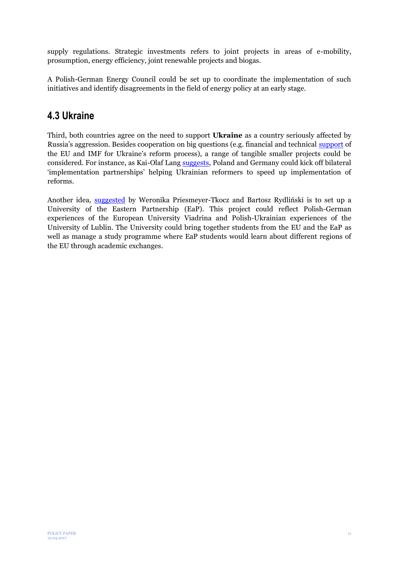supply regulations. Strategic investments refers to joint projects in areas of e-mobility, prosumption, energy efficiency, joint renewable projects and biogas.

A Polish-German Energy Council could be set up to coordinate the implementation of such initiatives and identify disagreements in the field of energy policy at an early stage.

#### **4.3 Ukraine**

Third, both countries agree on the need to support **Ukraine** as a country seriously affected by Russia's aggression. Besides cooperation on big questions (e.g. financial and technical [support](http://www.delorsinstitut.de/2015/wp-content/uploads/2015/10/ukrainekoenigchromiecjdienoct2015.pdf) of the EU and IMF for Ukraine's reform process), a range of tangible smaller projects could be considered. For instance, as Kai-Olaf Lang [suggests,](https://www.swp-berlin.org/fileadmin/contents/products/aktuell/2016A13_lng.pdf) Poland and Germany could kick off bilateral 'implementation partnerships' helping Ukrainian reformers to speed up implementation of reforms.

Another idea, [suggested](http://fae.pl/polishgermancooperation.pdf) by Weronika Priesmeyer-Tkocz and Bartosz Rydliński is to set up a University of the Eastern Partnership (EaP). This project could reflect Polish-German experiences of the European University Viadrina and Polish-Ukrainian experiences of the University of Lublin. The University could bring together students from the EU and the EaP as well as manage a study programme where EaP students would learn about different regions of the EU through academic exchanges.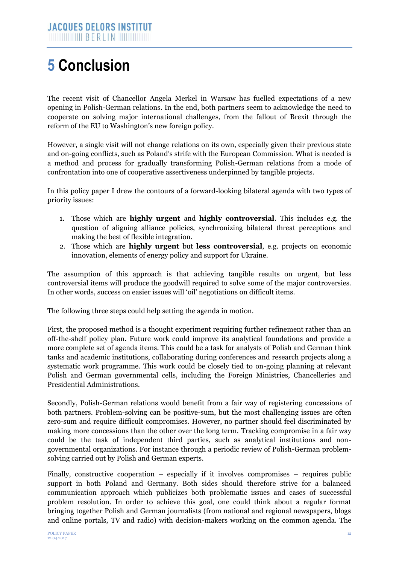## **5 Conclusion**

The recent visit of Chancellor Angela Merkel in Warsaw has fuelled expectations of a new opening in Polish-German relations. In the end, both partners seem to acknowledge the need to cooperate on solving major international challenges, from the fallout of Brexit through the reform of the EU to Washington's new foreign policy.

However, a single visit will not change relations on its own, especially given their previous state and on-going conflicts, such as Poland's strife with the European Commission. What is needed is a method and process for gradually transforming Polish-German relations from a mode of confrontation into one of cooperative assertiveness underpinned by tangible projects.

In this policy paper I drew the contours of a forward-looking bilateral agenda with two types of priority issues:

- 1. Those which are **highly urgent** and **highly controversial**. This includes e.g. the question of aligning alliance policies, synchronizing bilateral threat perceptions and making the best of flexible integration.
- 2. Those which are **highly urgent** but **less controversial**, e.g. projects on economic innovation, elements of energy policy and support for Ukraine.

The assumption of this approach is that achieving tangible results on urgent, but less controversial items will produce the goodwill required to solve some of the major controversies. In other words, success on easier issues will 'oil' negotiations on difficult items.

The following three steps could help setting the agenda in motion.

First, the proposed method is a thought experiment requiring further refinement rather than an off-the-shelf policy plan. Future work could improve its analytical foundations and provide a more complete set of agenda items. This could be a task for analysts of Polish and German think tanks and academic institutions, collaborating during conferences and research projects along a systematic work programme. This work could be closely tied to on-going planning at relevant Polish and German governmental cells, including the Foreign Ministries, Chancelleries and Presidential Administrations.

Secondly, Polish-German relations would benefit from a fair way of registering concessions of both partners. Problem-solving can be positive-sum, but the most challenging issues are often zero-sum and require difficult compromises. However, no partner should feel discriminated by making more concessions than the other over the long term. Tracking compromise in a fair way could be the task of independent third parties, such as analytical institutions and nongovernmental organizations. For instance through a periodic review of Polish-German problemsolving carried out by Polish and German experts.

Finally, constructive cooperation – especially if it involves compromises – requires public support in both Poland and Germany. Both sides should therefore strive for a balanced communication approach which publicizes both problematic issues and cases of successful problem resolution. In order to achieve this goal, one could think about a regular format bringing together Polish and German journalists (from national and regional newspapers, blogs and online portals, TV and radio) with decision-makers working on the common agenda. The